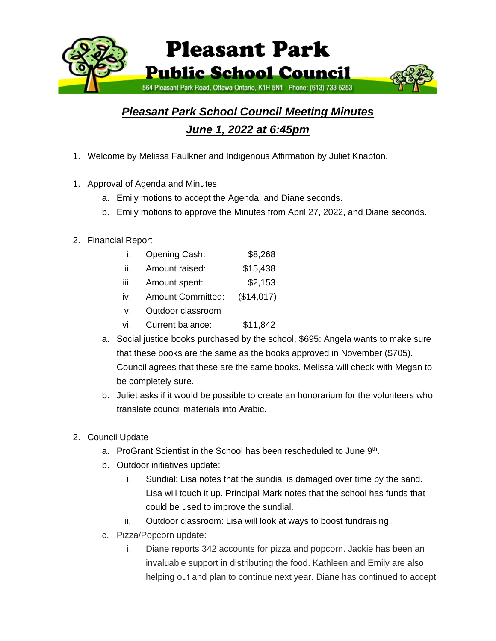

## *Pleasant Park School Council Meeting Minutes June 1, 2022 at 6:45pm*

- 1. Welcome by Melissa Faulkner and Indigenous Affirmation by Juliet Knapton.
- 1. Approval of Agenda and Minutes
	- a. Emily motions to accept the Agenda, and Diane seconds.
	- b. Emily motions to approve the Minutes from April 27, 2022, and Diane seconds.
- 2. Financial Report
	- i. Opening Cash: \$8,268
	- ii. Amount raised: \$15,438
	- iii. Amount spent: \$2,153
	- iv. Amount Committed: (\$14,017)
	- v. Outdoor classroom
	- vi. Current balance: \$11,842
	- a. Social justice books purchased by the school, \$695: Angela wants to make sure that these books are the same as the books approved in November (\$705). Council agrees that these are the same books. Melissa will check with Megan to be completely sure.
	- b. Juliet asks if it would be possible to create an honorarium for the volunteers who translate council materials into Arabic.
- 2. Council Update
	- a. ProGrant Scientist in the School has been rescheduled to June 9<sup>th</sup>.
	- b. Outdoor initiatives update:
		- i. Sundial: Lisa notes that the sundial is damaged over time by the sand. Lisa will touch it up. Principal Mark notes that the school has funds that could be used to improve the sundial.
		- ii. Outdoor classroom: Lisa will look at ways to boost fundraising.
	- c. Pizza/Popcorn update:
		- i. Diane reports 342 accounts for pizza and popcorn. Jackie has been an invaluable support in distributing the food. Kathleen and Emily are also helping out and plan to continue next year. Diane has continued to accept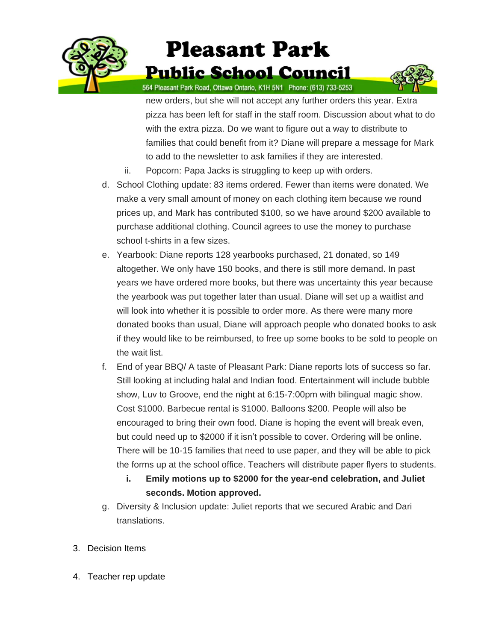

## **Pleasant Park Public School Council**



564 Pleasant Park Road, Ottawa Ontario, K1H 5N1 Phone: (613) 733-5253

new orders, but she will not accept any further orders this year. Extra pizza has been left for staff in the staff room. Discussion about what to do with the extra pizza. Do we want to figure out a way to distribute to families that could benefit from it? Diane will prepare a message for Mark to add to the newsletter to ask families if they are interested.

- ii. Popcorn: Papa Jacks is struggling to keep up with orders.
- d. School Clothing update: 83 items ordered. Fewer than items were donated. We make a very small amount of money on each clothing item because we round prices up, and Mark has contributed \$100, so we have around \$200 available to purchase additional clothing. Council agrees to use the money to purchase school t-shirts in a few sizes.
- e. Yearbook: Diane reports 128 yearbooks purchased, 21 donated, so 149 altogether. We only have 150 books, and there is still more demand. In past years we have ordered more books, but there was uncertainty this year because the yearbook was put together later than usual. Diane will set up a waitlist and will look into whether it is possible to order more. As there were many more donated books than usual, Diane will approach people who donated books to ask if they would like to be reimbursed, to free up some books to be sold to people on the wait list.
- f. End of year BBQ/ A taste of Pleasant Park: Diane reports lots of success so far. Still looking at including halal and Indian food. Entertainment will include bubble show, Luv to Groove, end the night at 6:15-7:00pm with bilingual magic show. Cost \$1000. Barbecue rental is \$1000. Balloons \$200. People will also be encouraged to bring their own food. Diane is hoping the event will break even, but could need up to \$2000 if it isn't possible to cover. Ordering will be online. There will be 10-15 families that need to use paper, and they will be able to pick the forms up at the school office. Teachers will distribute paper flyers to students.
	- **i. Emily motions up to \$2000 for the year-end celebration, and Juliet seconds. Motion approved.**
- g. Diversity & Inclusion update: Juliet reports that we secured Arabic and Dari translations.
- 3. Decision Items
- 4. Teacher rep update